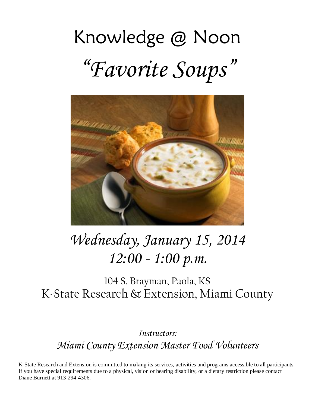# Knowledge @ Noon "*Favorite Soups*"



## *Wednesday, January 15, 2014 12:00 - 1:00 p.m.*

104 S. Brayman, Paola, KS K-State Research & Extension, Miami County

*Instructors: Miami County Extension Master Food Volunteers*

K-State Research and Extension is committed to making its services, activities and programs accessible to all participants. If you have special requirements due to a physical, vision or hearing disability, or a dietary restriction please contact Diane Burnett at 913-294-4306.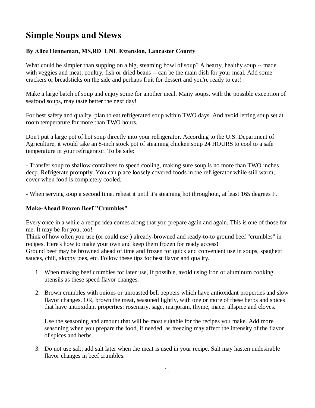### **Simple Soups and Stews**

#### **By Alice Henneman, MS,RD UNL Extension, Lancaster County**

What could be simpler than supping on a big, steaming bowl of soup? A hearty, healthy soup -- made with veggies and meat, poultry, fish or dried beans -- can be the main dish for your meal. Add some crackers or breadsticks on the side and perhaps fruit for dessert and you're ready to eat!

Make a large batch of soup and enjoy some for another meal. Many soups, with the possible exception of seafood soups, may taste better the next day!

For best safety and quality, plan to eat refrigerated soup within TWO days. And avoid letting soup set at room temperature for more than TWO hours.

Don't put a large pot of hot soup directly into your refrigerator. According to the U.S. Department of Agriculture, it would take an 8-inch stock pot of steaming chicken soup 24 HOURS to cool to a safe temperature in your refrigerator. To be safe:

- Transfer soup to shallow containers to speed cooling, making sure soup is no more than TWO inches deep. Refrigerate promptly. You can place loosely covered foods in the refrigerator while still warm; cover when food is completely cooled.

- When serving soup a second time, reheat it until it's steaming hot throughout, at least 165 degrees F.

#### **Make-Ahead Frozen Beef "Crumbles"**

Every once in a while a recipe idea comes along that you prepare again and again. This is one of those for me. It may be for you, too!

Think of how often you use (or could use!) already-browned and ready-to-to ground beef "crumbles" in recipes. Here's how to make your own and keep them frozen for ready access!

Ground beef may be browned ahead of time and frozen for quick and convenient use in soups, spaghetti sauces, chili, sloppy joes, etc. Follow these tips for best flavor and quality.

- 1. When making beef crumbles for later use, If possible, avoid using iron or aluminum cooking utensils as these speed flavor changes.
- 2. Brown crumbles with onions or unroasted bell peppers which have antioxidant properties and slow flavor changes. OR, brown the meat, seasoned lightly, with one or more of these herbs and spices that have antioxidant properties: rosemary, sage, marjoram, thyme, mace, allspice and cloves.

Use the seasoning and amount that will be most suitable for the recipes you make. Add more seasoning when you prepare the food, if needed, as freezing may affect the intensity of the flavor of spices and herbs.

3. Do not use salt; add salt later when the meat is used in your recipe. Salt may hasten undesirable flavor changes in beef crumbles.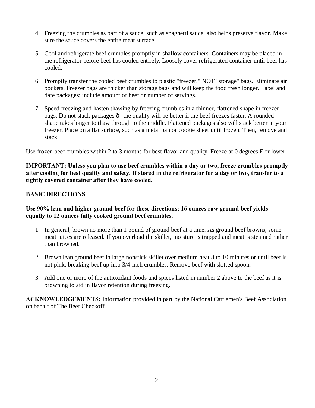- 4. Freezing the crumbles as part of a sauce, such as spaghetti sauce, also helps preserve flavor. Make sure the sauce covers the entire meat surface.
- 5. Cool and refrigerate beef crumbles promptly in shallow containers. Containers may be placed in the refrigerator before beef has cooled entirely. Loosely cover refrigerated container until beef has cooled.
- 6. Promptly transfer the cooled beef crumbles to plastic "freezer," NOT "storage" bags. Eliminate air pockets. Freezer bags are thicker than storage bags and will keep the food fresh longer. Label and date packages; include amount of beef or number of servings.
- 7. Speed freezing and hasten thawing by freezing crumbles in a thinner, flattened shape in freezer bags. Do not stack packages  $\hat{o}$  the quality will be better if the beef freezes faster. A rounded shape takes longer to thaw through to the middle. Flattened packages also will stack better in your freezer. Place on a flat surface, such as a metal pan or cookie sheet until frozen. Then, remove and stack.

Use frozen beef crumbles within 2 to 3 months for best flavor and quality. Freeze at 0 degrees F or lower.

**IMPORTANT: Unless you plan to use beef crumbles within a day or two, freeze crumbles promptly after cooling for best quality and safety. If stored in the refrigerator for a day or two, transfer to a tightly covered container after they have cooled.**

#### **BASIC DIRECTIONS**

#### **Use 90% lean and higher ground beef for these directions; 16 ounces raw ground beef yields equally to 12 ounces fully cooked ground beef crumbles.**

- 1. In general, brown no more than 1 pound of ground beef at a time. As ground beef browns, some meat juices are released. If you overload the skillet, moisture is trapped and meat is steamed rather than browned.
- 2. Brown lean ground beef in large nonstick skillet over medium heat 8 to 10 minutes or until beef is not pink, breaking beef up into 3/4-inch crumbles. Remove beef with slotted spoon.
- 3. Add one or more of the antioxidant foods and spices listed in number 2 above to the beef as it is browning to aid in flavor retention during freezing.

**ACKNOWLEDGEMENTS:** Information provided in part by the National Cattlemen's Beef Association on behalf of The Beef Checkoff.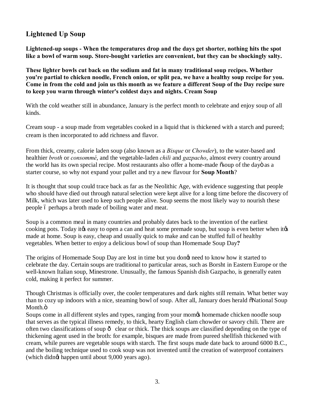#### **Lightened Up Soup**

**Lightened-up soups - When the temperatures drop and the days get shorter, nothing hits the spot like a bowl of warm soup. Store-bought varieties are convenient, but they can be shockingly salty.**

**These lighter bowls cut back on the sodium and fat in many traditional soup recipes. Whether you're partial to chicken noodle, French onion, or split pea, we have a healthy soup recipe for you. Come in from the cold and join us this month as we feature a different Soup of the Day recipe sure to keep you warm through winter's coldest days and nights. Cream Soup**

With the cold weather still in abundance, January is the perfect month to celebrate and enjoy soup of all kinds.

Cream soup - a soup made from vegetables cooked in a liquid that is thickened with a starch and pureed; cream is then incorporated to add richness and flavor.

From thick, creamy, calorie laden soup (also known as a *Bisque* or *Chowder*), to the water-based and healthier *broth* or *consommé*, and the vegetable-laden *chili* and *gazpacho*, almost every country around the world has its own special recipe. Most restaurants also offer a home-made  $\tilde{\sigma}$ soup of the dayo as a starter course, so why not expand your pallet and try a new flavour for **Soup Month**?

It is thought that soup could trace back as far as the Neolithic Age, with evidence suggesting that people who should have died out through natural selection were kept alive for a long time before the discovery of Milk, which was later used to keep such people alive. Soup seems the most likely way to nourish these people 6 perhaps a broth made of boiling water and meat.

Soup is a common meal in many countries and probably dates back to the invention of the earliest cooking pots. Today it the easy to open a can and heat some premade soup, but soup is even better when it the made at home. Soup is easy, cheap and usually quick to make and can be stuffed full of healthy vegetables. When better to enjoy a delicious bowl of soup than Homemade Soup Day**?**

The origins of Homemade Soup Day are lost in time but you dongt need to know how it started to celebrate the day. Certain soups are traditional to particular areas, such as Borsht in Eastern Europe or the well-known Italian soup, Minestrone. Unusually, the famous Spanish dish Gazpacho, is generally eaten cold, making it perfect for summer.

Though Christmas is officially over, the cooler temperatures and dark nights still remain. What better way than to cozy up indoors with a nice, steaming bowl of soup. After all, January does herald  $\delta$ National Soup Month.ö

Soups come in all different styles and types, ranging from your momos homemade chicken noodle soup that serves as the typical illness remedy, to thick, hearty English clam chowder or savory chili. There are often two classifications of soup  $\hat{o}$  clear or thick. The thick soups are classified depending on the type of thickening agent used in the broth: for example, bisques are made from pureed shellfish thickened with cream, while purees are vegetable soups with starch. The first soups made date back to around 6000 B.C., and the boiling technique used to cook soup was not invented until the creation of waterproof containers (which didng happen until about 9,000 years ago).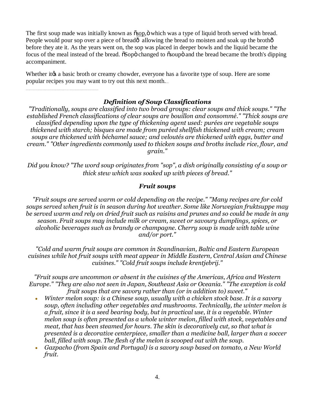The first soup made was initially known as  $\delta$ sop,  $\delta$  which was a type of liquid broth served with bread. People would pour sop over a piece of bread $\hat{o}$  allowing the bread to moisten and soak up the broth $\hat{o}$ before they ate it. As the years went on, the sop was placed in deeper bowls and the liquid became the focus of the meal instead of the bread.  $\delta$ Sopo changed to  $\delta$ soupo and the bread became the broth's dipping accompaniment.

Whether it the a basic broth or creamy chowder, everyone has a favorite type of soup. Here are some popular recipes you may want to try out this next month.

#### *Definition of Soup Classifications*

*"Traditionally, soups are classified into two broad groups: clear soups and thick soups." "The established French classifications of clear soups are bouillon and consommé." "Thick soups are classified depending upon the type of thickening agent used: purées are vegetable soups thickened with starch; bisques are made from puréed shellfish thickened with cream; cream soups are thickened with béchamel sauce; and veloutés are thickened with eggs, butter and cream." "Other ingredients commonly used to thicken soups and broths include rice, flour, and grain."*

*Did you know? "The word soup originates from "sop", a dish originally consisting of a soup or thick stew which was soaked up with pieces of bread."*

#### *Fruit soups*

*"Fruit soups are served warm or cold depending on the recipe." "Many recipes are for cold soups served when fruit is in season during hot weather. Some like Norwegian fruktsuppe may be served warm and rely on dried fruit such as raisins and prunes and so could be made in any season. Fruit soups may include milk or cream, sweet or savoury dumplings, spices, or alcoholic beverages such as brandy or champagne. Cherry soup is made with table wine and/or port."*

*"Cold and warm fruit soups are common in Scandinavian, Baltic and Eastern European cuisines while hot fruit soups with meat appear in Middle Eastern, Central Asian and Chinese cuisines." "Cold fruit soups include krentjebrij."*

*"Fruit soups are uncommon or absent in the cuisines of the Americas, Africa and Western Europe." "They are also not seen in Japan, Southeast Asia or Oceania." "The exception is cold fruit soups that are savory rather than (or in addition to) sweet."* 

- · *Winter melon soup: is a Chinese soup, usually with a chicken stock base. It is a savory soup, often including other vegetables and mushrooms. Technically, the winter melon is a fruit, since it is a seed bearing body, but in practical use, it is a vegetable. Winter melon soup is often presented as a whole winter melon, filled with stock, vegetables and meat, that has been steamed for hours. The skin is decoratively cut, so that what is presented is a decorative centerpiece, smaller than a medicine ball, larger than a soccer ball, filled with soup. The flesh of the melon is scooped out with the soup.*
- · *Gazpacho (from Spain and Portugal) is a savory soup based on tomato, a New World fruit.*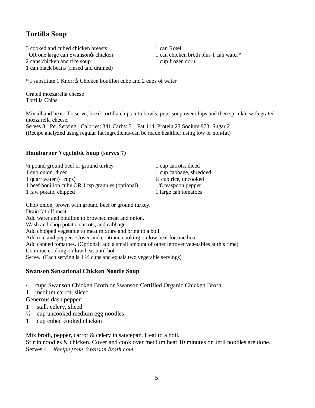#### **Tortilla Soup**

3 cooked and cubed chicken breasts 1 can Rotel OR one large can Swansongs chicken 1 can chicken broth plus 1 can water\* 2 cans chicken and rice soup 1 cup frozen corn 1 can black beans (rinsed and drained)

\* I substitute 1 Knorr's Chicken bouillon cube and 2 cups of water

Grated mozzarella cheese Tortilla Chips

Mix all and heat. To serve, break tortilla chips into bowls, pour soup over chips and then sprinkle with grated mozzarella cheese.

Serves 8 Per Serving: Calories: 341,Carbs: 31, Fat 114, Protein 23,Sodium 973, Sugar 2 (Recipe analyzed using regular fat ingredients-can be made healthier using low or non-fat)

#### **Hamburger Vegetable Soup (serves 7)**

| $\frac{1}{2}$ pound ground beef or ground turkey  | 1 cup carrots, diced             |
|---------------------------------------------------|----------------------------------|
| 1 cup onion, diced                                | 1 cup cabbage, shredded          |
| 1 quart water (4 cups)                            | $\frac{1}{4}$ cup rice, uncooked |
| 1 beef bouillon cube OR 1 tsp granules (optional) | $1/8$ teaspoon pepper            |
| 1 raw potato, chipped                             | 1 large can tomatoes             |
|                                                   |                                  |

Chop onion, brown with ground beef or ground turkey. Drain fat off meat Add water and bouillon to browned meat and onion. Wash and chop potato, carrots, and cabbage. Add chopped vegetable to meat mixture and bring to a boil. Add rice and pepper. Cover and continue cooking on low heat for one hour. Add canned tomatoes. (Optional: add a small amount of other leftover vegetables at this time) Continue cooking on low heat until hot. Serve. (Each serving is 1 ½ cups and equals two vegetable servings)

#### **Swanson Sensational Chicken Noodle Soup**

- 4 cups Swanson Chicken Broth or Swanson Certified Organic Chicken Broth
- 1 medium carrot, sliced

Generous dash pepper

- 1 stalk celery, sliced
- $\frac{1}{2}$  cup uncooked medium egg noodles
- 1 cup cubed cooked chicken

Mix broth, pepper, carrot & celery in saucepan. Heat to a boil. Stir in noodles & chicken. Cover and cook over medium heat 10 minutes or until noodles are done.

Serves 4 *Recipe from Swanson broth.com*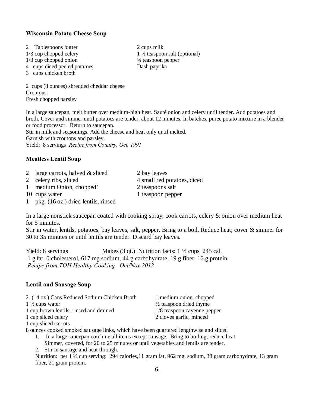#### **Wisconsin Potato Cheese Soup**

- 2 Tablespoons butter 2 cups milk  $1/3$  cup chopped onion  $\frac{1}{4}$  teaspoon pepper
- 4 cups diced peeled potatoes Dash paprika
- 3 cups chicken broth

2 cups (8 ounces) shredded cheddar cheese **Croutons** Fresh chopped parsley

In a large saucepan, melt butter over medium-high heat. Sauté onion and celery until tender. Add potatoes and broth. Cover and simmer until potatoes are tender, about 12 minutes. In batches, puree potato mixture in a blender or food processor. Return to saucepan.

Stir in milk and seasonings. Add the cheese and heat only until melted.

Garnish with croutons and parsley.

Yield: 8 servings *Recipe from Country, Oct. 1991*

#### **Meatless Lentil Soup**

- 2 large carrots, halved & sliced 2 bay leaves
- 2 celery ribs, sliced 4 small red potatoes, diced

1 medium Onion, chopped` 2 teaspoons salt

- 10 cups water 1 teaspoon pepper
- 1 pkg. (16 oz.) dried lentils, rinsed

In a large nonstick saucepan coated with cooking spray, cook carrots, celery & onion over medium heat for 5 minutes.

Stir in water, lentils, potatoes, bay leaves, salt, pepper. Bring to a boil. Reduce heat; cover & simmer for 30 to 35 minutes or until lentils are tender. Discard bay leaves.

Yield: 8 servings Makes (3 qt.) Nutrition facts:  $1 \frac{1}{2}$  cups 245 cal. 1 g fat, 0 cholesterol, 617 mg sodium, 44 g carbohydrate, 19 g fiber, 16 g protein. *Recipe from TOH Healthy Cooking Oct/Nov 2012*

#### **Lentil and Sausage Soup**

| 2 (14 oz.) Cans Reduced Sodium Chicken Broth | 1 medium onion, chopped            |
|----------------------------------------------|------------------------------------|
| $1\frac{1}{2}$ cups water                    | $\frac{1}{2}$ teaspoon dried thyme |
| 1 cup brown lentils, rinsed and drained      | 1/8 teaspoon cayenne pepper        |
| 1 cup sliced celery                          | 2 cloves garlic, minced            |
| 1 cup sliced carrots                         |                                    |

8 ounces cooked smoked sausage links, which have been quartered lengthwise and sliced

1. In a large saucepan combine all items except sausage. Bring to boiling; reduce heat.

Simmer, covered, for 20 to 25 minutes or until vegetables and lentils are tender.

2. Stir in sausage and heat through.

Nutrition: per 1 ½ cup serving: 294 calories,11 gram fat, 962 mg. sodium, 38 gram carbohydrate, 13 gram fiber, 21 gram protein.

 $1/3$  cup chopped celery  $1\frac{1}{2}$  teaspoon salt (optional)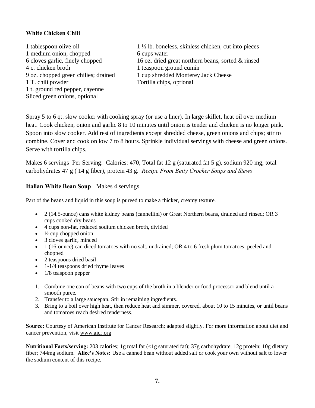#### **White Chicken Chili**

1 medium onion, chopped 6 cups water 4 c. chicken broth 1 teaspoon ground cumin 1 T. chili powder Tortilla chips, optional 1 t. ground red pepper, cayenne Sliced green onions, optional

1 tablespoon olive oil 1 ½ lb. boneless, skinless chicken, cut into pieces 6 cloves garlic, finely chopped 16 oz. dried great northern beans, sorted & rinsed 9 oz. chopped green chilies; drained 1 cup shredded Monterey Jack Cheese

Spray 5 to 6 qt. slow cooker with cooking spray (or use a liner). In large skillet, heat oil over medium heat. Cook chicken, onion and garlic 8 to 10 minutes until onion is tender and chicken is no longer pink. Spoon into slow cooker. Add rest of ingredients except shredded cheese, green onions and chips; stir to combine. Cover and cook on low 7 to 8 hours. Sprinkle individual servings with cheese and green onions. Serve with tortilla chips.

Makes 6 servings Per Serving: Calories: 470, Total fat 12 g (saturated fat 5 g), sodium 920 mg, total carbohydrates 47 g ( 14 g fiber), protein 43 g. *Recipe From Betty Crocker Soups and Stews*

#### **Italian White Bean Soup** Makes 4 servings

Part of the beans and liquid in this soup is pureed to make a thicker, creamy texture.

- · 2 (14.5-ounce) cans white kidney beans (cannellini) or Great Northern beans, drained and rinsed; OR 3 cups cooked dry beans
- · 4 cups non-fat, reduced sodium chicken broth, divided
- $\cdot$   $\frac{1}{2}$  cup chopped onion
- 3 cloves garlic, minced
- · 1 (16-ounce) can diced tomatoes with no salt, undrained; OR 4 to 6 fresh plum tomatoes, peeled and chopped
- 2 teaspoons dried basil
- 1-1/4 teaspoons dried thyme leaves
- 1/8 teaspoon pepper
- 1. Combine one can of beans with two cups of the broth in a blender or food processor and blend until a smooth puree.
- 2. Transfer to a large saucepan. Stir in remaining ingredients.
- 3. Bring to a boil over high heat, then reduce heat and simmer, covered, about 10 to 15 minutes, or until beans and tomatoes reach desired tenderness.

**Source:** Courtesy of American Institute for Cancer Research; adapted slightly. For more information about diet and cancer prevention, visit www.aicr.org

**Nutritional Facts/serving:** 203 calories; 1g total fat (<1g saturated fat); 37g carbohydrate; 12g protein; 10g dietary fiber; 744mg sodium. **Alice's Notes:** Use a canned bean without added salt or cook your own without salt to lower the sodium content of this recipe.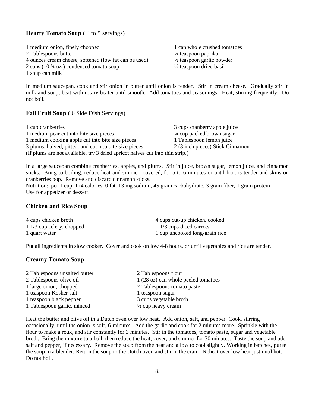#### **Hearty Tomato Soup** ( 4 to 5 servings)

1 medium onion, finely chopped 1 can whole crushed tomatoes 2 Tablespoons butter ½ teaspoon paprika 4 ounces cream cheese, softened (low fat can be used) ½ teaspoon garlic powder 2 cans (10 ¾ oz.) condensed tomato soup ½ teaspoon dried basil 1 soup can milk

In medium saucepan, cook and stir onion in butter until onion is tender. Stir in cream cheese. Gradually stir in milk and soup; beat with rotary beater until smooth. Add tomatoes and seasonings. Heat, stirring frequently. Do not boil.

#### **Fall Fruit Soup** ( 6 Side Dish Servings)

| 1 cup cranberries                                                             | 3 cups cranberry apple juice         |
|-------------------------------------------------------------------------------|--------------------------------------|
| 1 medium pear cut into bite size pieces                                       | $\frac{1}{4}$ cup packed brown sugar |
| 1 medium cooking apple cut into bite size pieces                              | 1 Tablespoon lemon juice             |
| 3 plums, halved, pitted, and cut into bite-size pieces                        | 2 (3 inch pieces) Stick Cinnamon     |
| (If plums are not available, try 3 dried apricot halves cut into thin strip.) |                                      |

In a large saucepan combine cranberries, apples, and plums. Stir in juice, brown sugar, lemon juice, and cinnamon sticks. Bring to boiling: reduce heat and simmer, covered, for 5 to 6 minutes or until fruit is tender and skins on cranberries pop. Remove and discard cinnamon sticks.

Nutrition: per 1 cup, 174 calories, 0 fat, 13 mg sodium, 45 gram carbohydrate, 3 gram fiber, 1 gram protein Use for appetizer or dessert.

#### **Chicken and Rice Soup**

| 4 cups chicken broth      | 4 cups cut-up chicken, cooked  |
|---------------------------|--------------------------------|
| 1 1/3 cup celery, chopped | 1 1/3 cups diced carrots       |
| 1 quart water             | 1 cup uncooked long-grain rice |

Put all ingredients in slow cooker. Cover and cook on low 4-8 hours, or until vegetables and rice are tender.

#### **Creamy Tomato Soup**

| 2 Tablespoons unsalted butter | 2 Tablespoons flour                 |
|-------------------------------|-------------------------------------|
| 2 Tablespoons olive oil       | 1 (28 oz) can whole peeled tomatoes |
| 1 large onion, chopped        | 2 Tablespoons tomato paste          |
| 1 teaspoon Kosher salt        | 1 teaspoon sugar                    |
| 1 teaspoon black pepper       | 3 cups vegetable broth              |
| 1 Tablespoon garlic, minced   | $\frac{1}{2}$ cup heavy cream       |

Heat the butter and olive oil in a Dutch oven over low heat. Add onion, salt, and pepper. Cook, stirring occasionally, until the onion is soft, 6-minutes. Add the garlic and cook for 2 minutes more. Sprinkle with the flour to make a roux, and stir constantly for 3 minutes. Stir in the tomatoes, tomato paste, sugar and vegetable broth. Bring the mixture to a boil, then reduce the heat, cover, and simmer for 30 minutes. Taste the soup and add salt and pepper, if necessary. Remove the soup from the heat and allow to cool slightly. Working in batches, puree the soup in a blender. Return the soup to the Dutch oven and stir in the cram. Reheat over low heat just until hot. Do not boil.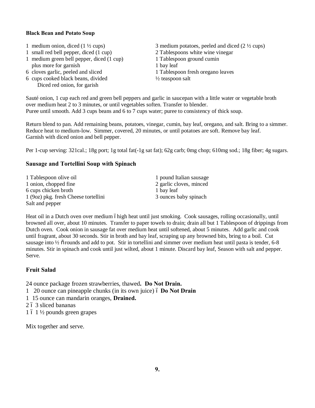#### **Black Bean and Potato Soup**

- 
- 1 small red bell pepper, diced (1 cup) 2 Tablespoons white wine vinegar
- 1 medium green bell pepper, diced (1 cup) 1 Tablespoon ground cumin plus more for garnish 1 bay leaf<br>6 cloves garlic, peeled and sliced 1 Tablespo
- 
- 6 cups cooked black beans, divided ½ teaspoon salt Diced red onion, for garish
- 1 medium onion, diced ( $1 \frac{1}{2}$  cups) 3 medium potatoes, peeled and diced ( $2 \frac{1}{2}$  cups)
	-
	- -
	- 1 Tablespoon fresh oregano leaves
	-

Sauté onion, 1 cup each red and green bell peppers and garlic in saucepan with a little water or vegetable broth over medium heat 2 to 3 minutes, or until vegetables soften. Transfer to blender. Puree until smooth. Add 3 cups beans and 6 to 7 cups water; puree to consistency of thick soup.

Return blend to pan. Add remaining beans, potatoes, vinegar, cumin, bay leaf, oregano, and salt. Bring to a simmer. Reduce heat to medium-low. Simmer, covered, 20 minutes, or until potatoes are soft. Remove bay leaf. Garnish with diced onion and bell pepper.

Per 1-cup serving: 321cal.; 18g port; 1g total fat(-1g sat fat); 62g carb; 0mg chop; 610mg sod.; 18g fiber; 4g sugars.

#### **Sausage and Tortellini Soup with Spinach**

| 1 Tablespoon olive oil               | 1 pound Italian sausage |
|--------------------------------------|-------------------------|
| 1 onion, chopped fine                | 2 garlic cloves, minced |
| 6 cups chicken broth                 | 1 bay leaf              |
| 1 (9oz) pkg. fresh Cheese tortellini | 3 ounces baby spinach   |
| Salt and pepper                      |                         |

Heat oil in a Dutch oven over medium óhigh heat until just smoking. Cook sausages, rolling occasionally, until browned all over, about 10 minutes. Transfer to paper towels to drain; drain all but 1 Tablespoon of drippings from Dutch oven. Cook onion in sausage fat over medium heat until softened, about 5 minutes. Add garlic and cook until fragrant, about 30 seconds. Stir in broth and bay leaf, scraping up any browned bits, bring to a boil. Cut sausage into 1/2  $\tilde{o}$  rounds and add to pot. Stir in tortellini and simmer over medium heat until pasta is tender, 6-8 minutes. Stir in spinach and cook until just wilted, about 1 minute. Discard bay leaf, Season with salt and pepper. Serve.

#### **Fruit Salad**

24 ounce package frozen strawberries, thawed**. Do Not Drain.**

- 1 20 ounce can pineapple chunks (in its own juice) 6 Do Not Drain
- 1 15 ounce can mandarin oranges, **Drained.**
- 2 ó 3 sliced bananas
- $1\,6\,1\,\frac{1}{2}$  pounds green grapes

Mix together and serve.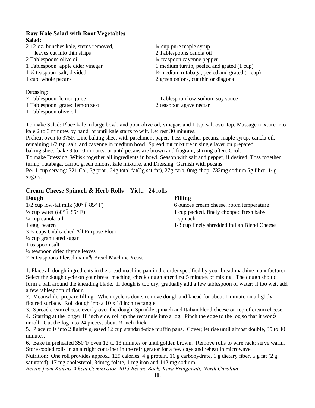#### **Raw Kale Salad with Root Vegetables Salad:**

1 Tablespoon olive oil

| 2 12-oz. bunches kale, stems removed, | $\frac{1}{4}$ cup pure maple syrup                       |  |
|---------------------------------------|----------------------------------------------------------|--|
| leaves cut into thin strips           | 2 Tablespoons canola oil                                 |  |
| 2 Tablespoons olive oil               | $\frac{1}{4}$ teaspoon cayenne pepper                    |  |
| 1 Tablespoon apple cider vinegar      | 1 medium turnip, peeled and grated (1 cup)               |  |
| $1\frac{1}{2}$ teaspoon salt, divided | $\frac{1}{2}$ medium rutabaga, peeled and grated (1 cup) |  |
| 1 cup whole pecans                    | 2 green onions, cut thin or diagonal                     |  |
| <b>Dressing:</b>                      |                                                          |  |
| 2 Tablespoon lemon juice              | 1 Tablespoon low-sodium soy sauce                        |  |

1 Tablespoon grated lemon zest 2 teaspoon agave nectar

To make Salad: Place kale in large bowl, and pour olive oil, vinegar, and 1 tsp. salt over top. Massage mixture into kale 2 to 3 minutes by hand, or until kale starts to wilt. Let rest 30 minutes.

Preheat oven to 375F. Line baking sheet with parchment paper. Toss together pecans, maple syrup, canola oil, remaining 1/2 tsp. salt, and cayenne in medium bowl. Spread nut mixture in single layer on prepared baking sheet; bake 8 to 10 minutes, or until pecans are brown and fragrant, stirring often. Cool. To make Dressing: Whisk together all ingredients in bowl. Season with salt and pepper, if desired. Toss together turnip, rutabaga, carrot, green onions, kale mixture, and Dressing. Garnish with pecans. Per 1-cup serving: 321 Cal, 5g prot., 24g total fat(2g sat fat), 27g carb, 0mg chop, 732mg sodium 5g fiber, 14g sugars.

#### **Cream Cheese Spinach & Herb Rolls** Yield : 24 rolls **Dough Filling**

 $1/2$  cup low-fat milk  $(80^{\circ} 685^{\circ} F)$  6 ounces cream cheese, room temperature  $\frac{1}{2}$  cup water (80° 6 85° F) 1 cup packed, finely chopped fresh baby  $\frac{1}{4}$  cup canola oil spinach 1 egg, beaten 1/3 cup finely shredded Italian Blend Cheese 3 ½ cups Unbleached All Purpose Flour ¼ cup granulated sugar 1 teaspoon salt ¼ teaspoon dried thyme leaves 2 ¼ teaspoons Fleischmann's Bread Machine Yeast

1. Place all dough ingredients in the bread machine pan in the order specified by your bread machine manufacturer. Select the dough cycle on your bread machine; check dough after first 5 minutes of mixing. The dough should form a ball around the kneading blade. If dough is too dry, gradually add a few tablespoon of water; if too wet, add a few tablespoon of flour.

2. Meanwhile, prepare filling. When cycle is done, remove dough and knead for about 1 minute on a lightly floured surface. Roll dough into a 10 x 18 inch rectangle.

3. Spread cream cheese evenly over the dough. Sprinkle spinach and Italian blend cheese on top of cream cheese.

4. Starting at the longer 18 inch side, roll up the rectangle into a log. Pinch the edge to the log so that it wong unroll. Cut the log into 24 pieces, about  $\frac{3}{4}$  inch thick.

5. Place rolls into 2 lightly greased 12 cup standard-size muffin pans. Cover; let rise until almost double, 35 to 40 minutes.

6. Bake in preheated 350°F oven 12 to 13 minutes or until golden brown. Remove rolls to wire rack; serve warm. Store cooled rolls in an airtight container in the refrigerator for a few days and reheat in microwave.

Nutrition: One roll provides approx.. 129 calories, 4 g protein, 16 g carbohydrate, 1 g dietary fiber, 5 g fat (2 g saturated), 17 mg cholesterol, 34mcg folate, 1 mg iron and 142 mg sodium.

*Recipe from Kansas Wheat Commission 2013 Recipe Book, Kara Bringewatt, North Carolina*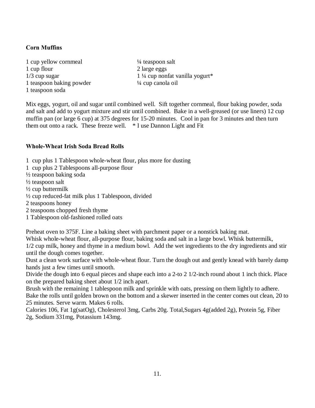#### **Corn Muffins**

1 cup yellow cornmeal  $\frac{1}{4}$  teaspoon salt 1 cup flour 2 large eggs 1 teaspoon baking powder <sup>1/4</sup> cup canola oil 1 teaspoon soda

 $1/3$  cup sugar  $1\frac{1}{4}$  cup nonfat vanilla yogurt\*

Mix eggs, yogurt, oil and sugar until combined well. Sift together cornmeal, flour baking powder, soda and salt and add to yogurt mixture and stir until combined. Bake in a well-greased (or use liners) 12 cup muffin pan (or large 6 cup) at 375 degrees for 15-20 minutes. Cool in pan for 3 minutes and then turn them out onto a rack. These freeze well. \* I use Dannon Light and Fit

#### **Whole-Wheat Irish Soda Bread Rolls**

- 1 cup plus 1 Tablespoon whole-wheat flour, plus more for dusting
- 1 cup plus 2 Tablespoons all-purpose flour
- $\frac{1}{2}$  teaspoon baking soda

½ teaspoon salt

 $\frac{1}{2}$  cup buttermilk

- ½ cup reduced-fat milk plus 1 Tablespoon, divided
- 2 teaspoons honey
- 2 teaspoons chopped fresh thyme
- 1 Tablespoon old-fashioned rolled oats

Preheat oven to 375F. Line a baking sheet with parchment paper or a nonstick baking mat.

Whisk whole-wheat flour, all-purpose flour, baking soda and salt in a large bowl. Whisk buttermilk,

1/2 cup milk, honey and thyme in a medium bowl. Add the wet ingredients to the dry ingredients and stir until the dough comes together.

Dust a clean work surface with whole-wheat flour. Turn the dough out and gently knead with barely damp hands just a few times until smooth.

Divide the dough into 6 equal pieces and shape each into a 2-to 2 1/2-inch round about 1 inch thick. Place on the prepared baking sheet about 1/2 inch apart.

Brush with the remaining 1 tablespoon milk and sprinkle with oats, pressing on them lightly to adhere. Bake the rolls until golden brown on the bottom and a skewer inserted in the center comes out clean, 20 to 25 minutes. Serve warm. Makes 6 rolls.

Calories 106, Fat 1g(satOg), Cholesterol 3mg, Carbs 20g. Total,Sugars 4g(added 2g), Protein 5g, Fiber 2g, Sodium 331mg, Potassium 143mg.